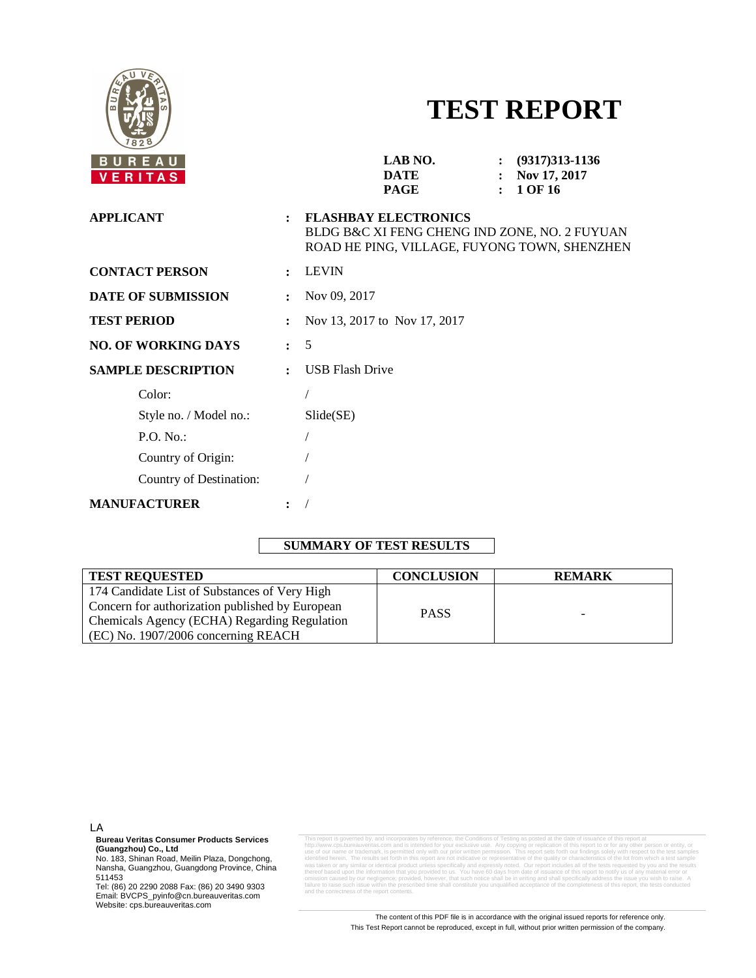

# **TEST REPORT**

| BUREAU<br>VERITAS          |                      | LAB NO.<br>$(9317)313 - 1136$<br>Nov 17, 2017<br><b>DATE</b><br>$\mathbf{r}$<br>1 OF 16<br><b>PAGE</b>                       |  |  |  |  |
|----------------------------|----------------------|------------------------------------------------------------------------------------------------------------------------------|--|--|--|--|
| <b>APPLICANT</b>           | $\ddot{\phantom{a}}$ | <b>FLASHBAY ELECTRONICS</b><br>BLDG B&C XI FENG CHENG IND ZONE, NO. 2 FUYUAN<br>ROAD HE PING, VILLAGE, FUYONG TOWN, SHENZHEN |  |  |  |  |
| <b>CONTACT PERSON</b>      | $\ddot{\phantom{a}}$ | <b>LEVIN</b>                                                                                                                 |  |  |  |  |
| <b>DATE OF SUBMISSION</b>  |                      | Nov 09, 2017                                                                                                                 |  |  |  |  |
| <b>TEST PERIOD</b>         |                      | Nov 13, 2017 to Nov 17, 2017                                                                                                 |  |  |  |  |
| <b>NO. OF WORKING DAYS</b> | $\mathbf{r}$         | 5                                                                                                                            |  |  |  |  |
| <b>SAMPLE DESCRIPTION</b>  | $\ddot{\cdot}$       | <b>USB Flash Drive</b>                                                                                                       |  |  |  |  |
| Color:                     |                      |                                                                                                                              |  |  |  |  |
| Style no. / Model no.:     |                      | $S$ lide $(SE)$                                                                                                              |  |  |  |  |
| $P.O. No.$ :               |                      |                                                                                                                              |  |  |  |  |
| Country of Origin:         |                      |                                                                                                                              |  |  |  |  |
| Country of Destination:    |                      |                                                                                                                              |  |  |  |  |
| <b>MANUFACTURER</b>        |                      |                                                                                                                              |  |  |  |  |

## **SUMMARY OF TEST RESULTS**

| <b>TEST REQUESTED</b>                           | <b>CONCLUSION</b> | <b>REMARK</b>            |
|-------------------------------------------------|-------------------|--------------------------|
| 174 Candidate List of Substances of Very High   |                   |                          |
| Concern for authorization published by European | <b>PASS</b>       |                          |
| Chemicals Agency (ECHA) Regarding Regulation    |                   | $\overline{\phantom{0}}$ |
| (EC) No. 1907/2006 concerning REACH             |                   |                          |

LA

**Bureau Veritas Consumer Products Services**

**(Guangzhou) Co., Ltd**<br>No. 183, Shinan Road, Meilin Plaza, Dongchong,<br>Nansha, Guangzhou, Guangdong Province, China 511453

Tel: (86) 20 2290 2088 Fax: (86) 20 3490 9303 Email: BVCPS\_pyinfo@cn.bureauveritas.com Website: cps.bureauveritas.com

This report is governed by, and incorporates by reference, the Conditions of Testing as posted at the date of issuance of this report at his report at the method of the method of the method of the state of the method of th thereof based upon the information that you provided to us. You have 60 days from date of issuance of this report to notify us of any material error or<br>omission caused by our negligence; provided, however, that such notify and the report contents.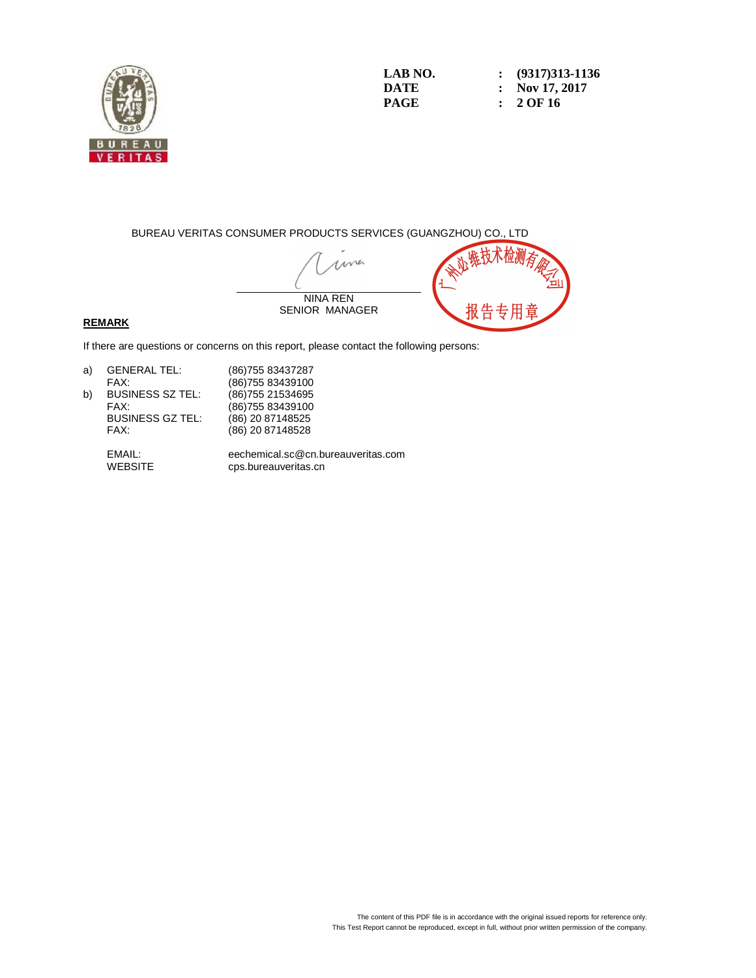

**LAB NO. : (9317)313-1136 DATE : Nov 17, 2017 PAGE : 2 OF 16** 

BUREAU VERITAS CONSUMER PRODUCTS SERVICES (GUANGZHOU) CO., LTD

ma NINA REN SENIOR MANAGER

#### **REMARK**

If there are questions or concerns on this report, please contact the following persons:

| a) | <b>GENERAL TEL:</b>     | (86) 755 83437287 |
|----|-------------------------|-------------------|
|    | FAX:                    | (86) 755 83439100 |
| b) | <b>BUSINESS SZ TEL:</b> | (86) 755 21534695 |
|    | FAX:                    | (86) 755 83439100 |
|    | <b>BUSINESS GZ TEL:</b> | (86) 20 87148525  |
|    | FAX:                    | (86) 20 87148528  |
|    |                         |                   |

 EMAIL: eechemical.sc@cn.bureauveritas.com cps.bureauveritas.cn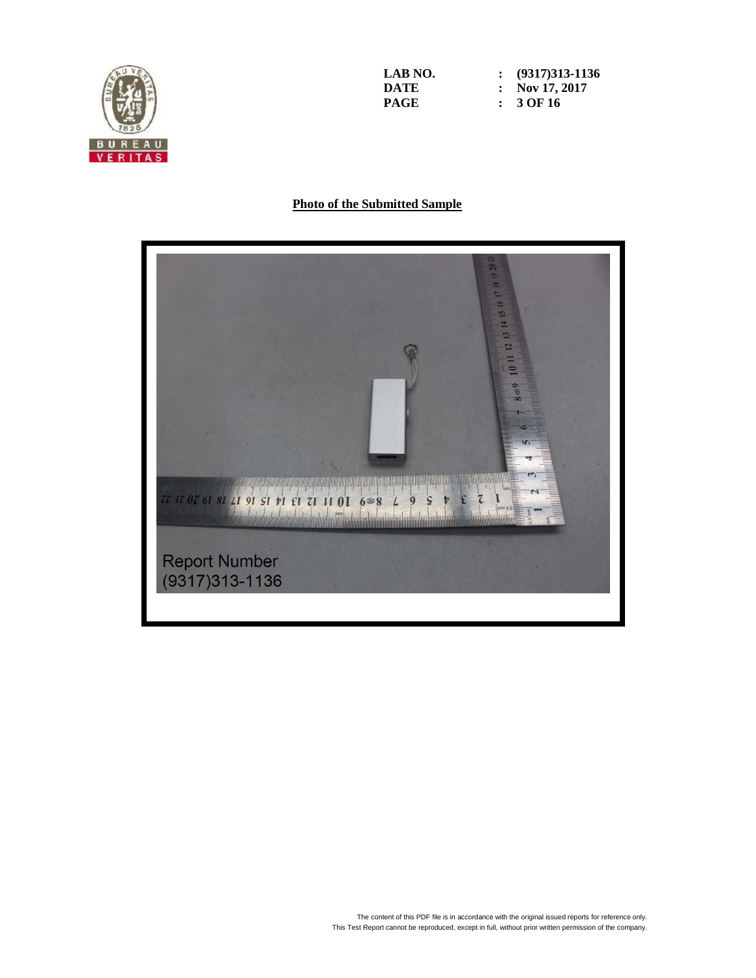

**LAB NO. : (9317)313-1136 DATE : Nov 17, 2017 PAGE : 3 OF 16** 

### **Photo of the Submitted Sample**

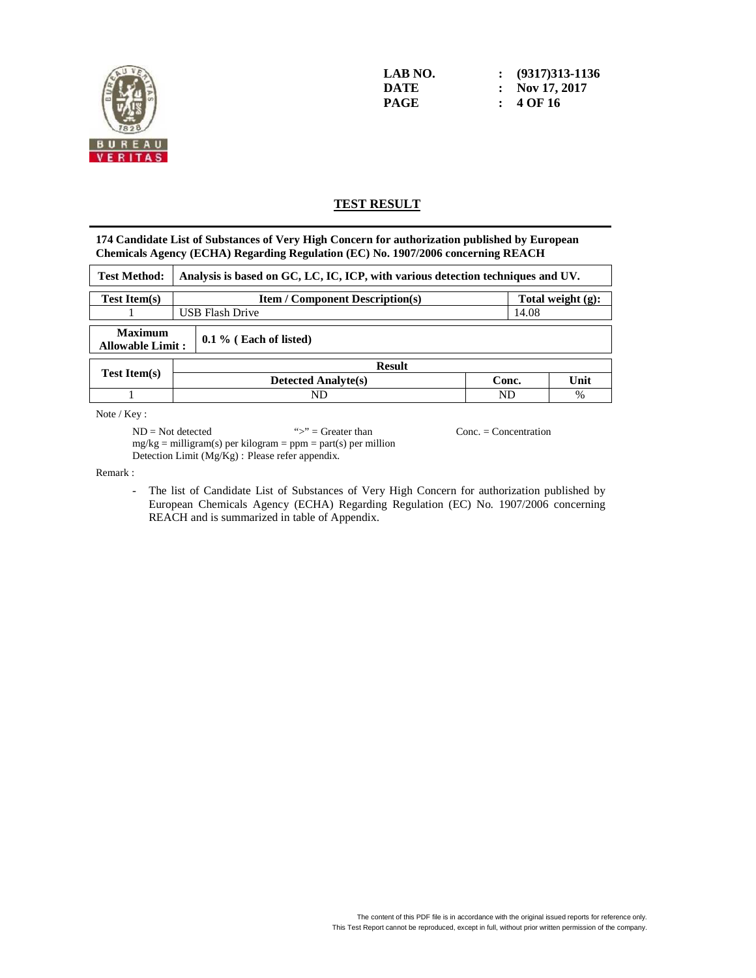

**LAB NO. : (9317)313-1136 DATE : Nov 17, 2017 PAGE : 4 OF 16** 

## **TEST RESULT**

**174 Candidate List of Substances of Very High Concern for authorization published by European Chemicals Agency (ECHA) Regarding Regulation (EC) No. 1907/2006 concerning REACH** 

| <b>Test Method:</b>                       |  | Analysis is based on GC, LC, IC, ICP, with various detection techniques and UV. |       |      |  |  |
|-------------------------------------------|--|---------------------------------------------------------------------------------|-------|------|--|--|
| <b>Test Item(s)</b>                       |  | Total weight $(g)$ :<br><b>Item / Component Description(s)</b>                  |       |      |  |  |
|                                           |  | <b>USB Flash Drive</b><br>14.08                                                 |       |      |  |  |
| <b>Maximum</b><br><b>Allowable Limit:</b> |  | $0.1\%$ (Each of listed)                                                        |       |      |  |  |
|                                           |  | <b>Result</b>                                                                   |       |      |  |  |
| <b>Test Item(s)</b>                       |  | <b>Detected Analyte(s)</b>                                                      | Conc. | Unit |  |  |
|                                           |  | ND                                                                              | ND    | %    |  |  |

Note / Key :

 $ND = Not detected$  ">" = Greater than Conc. = Concentration  $mg/kg =$  milligram(s) per kilogram = ppm = part(s) per million Detection Limit (Mg/Kg) : Please refer appendix.

Remark :

- The list of Candidate List of Substances of Very High Concern for authorization published by European Chemicals Agency (ECHA) Regarding Regulation (EC) No. 1907/2006 concerning REACH and is summarized in table of Appendix.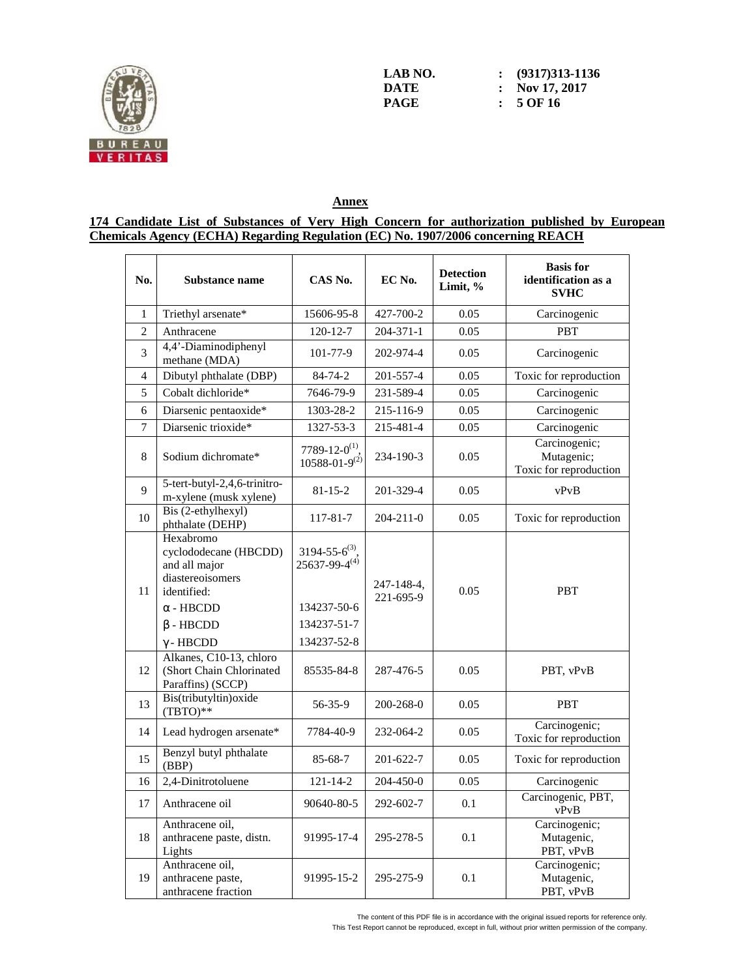

| LAB NO. | $\colon$ (9317)313-1136 |
|---------|-------------------------|
| DATE    | : Nov 17, 2017          |
| PAGE    | $: 5$ OF 16             |

## **Annex**

#### **174 Candidate List of Substances of Very High Concern for authorization published by European Chemicals Agency (ECHA) Regarding Regulation (EC) No. 1907/2006 concerning REACH**

| No.             | Substance name                                                                                                                                    | CAS No.                                                                                        | EC No.                  | <b>Detection</b><br>Limit, % | <b>Basis</b> for<br>identification as a<br><b>SVHC</b> |
|-----------------|---------------------------------------------------------------------------------------------------------------------------------------------------|------------------------------------------------------------------------------------------------|-------------------------|------------------------------|--------------------------------------------------------|
| 1               | Triethyl arsenate*                                                                                                                                | 15606-95-8                                                                                     | 427-700-2               | 0.05                         | Carcinogenic                                           |
| $\overline{2}$  | Anthracene                                                                                                                                        | 120-12-7                                                                                       | $204 - 371 - 1$         | 0.05                         | <b>PBT</b>                                             |
| 3               | 4,4'-Diaminodiphenyl<br>methane (MDA)                                                                                                             | 101-77-9                                                                                       | 202-974-4               | 0.05                         | Carcinogenic                                           |
| 4               | Dibutyl phthalate (DBP)                                                                                                                           | 84-74-2                                                                                        | 201-557-4               | 0.05                         | Toxic for reproduction                                 |
| 5               | Cobalt dichloride*                                                                                                                                | 7646-79-9                                                                                      | 231-589-4               | 0.05                         | Carcinogenic                                           |
| 6               | Diarsenic pentaoxide*                                                                                                                             | 1303-28-2                                                                                      | 215-116-9               | 0.05                         | Carcinogenic                                           |
| $7\phantom{.0}$ | Diarsenic trioxide*                                                                                                                               | 1327-53-3                                                                                      | 215-481-4               | 0.05                         | Carcinogenic                                           |
| 8               | Sodium dichromate*                                                                                                                                | 7789-12-0 <sup>(1)</sup> .<br>$10588 - 01 - 9^{(2)}$                                           | 234-190-3               | 0.05                         | Carcinogenic;<br>Mutagenic;<br>Toxic for reproduction  |
| 9               | 5-tert-butyl-2,4,6-trinitro-<br>m-xylene (musk xylene)                                                                                            | $81 - 15 - 2$                                                                                  | 201-329-4               | 0.05                         | vPvB                                                   |
| 10              | Bis (2-ethylhexyl)<br>phthalate (DEHP)                                                                                                            | 117-81-7                                                                                       | $204 - 211 - 0$         | 0.05                         | Toxic for reproduction                                 |
| 11              | Hexabromo<br>cyclododecane (HBCDD)<br>and all major<br>diastereoisomers<br>identified:<br>$\alpha$ - HBCDD<br>$\beta$ - HBCDD<br>$\gamma$ - HBCDD | $3194 - 55 - 6^{(3)}$ .<br>$25637 - 99 - 4^{(4)}$<br>134237-50-6<br>134237-51-7<br>134237-52-8 | 247-148-4,<br>221-695-9 | 0.05                         | <b>PBT</b>                                             |
| 12              | Alkanes, C10-13, chloro<br>(Short Chain Chlorinated<br>Paraffins) (SCCP)                                                                          | 85535-84-8                                                                                     | 287-476-5               | 0.05                         | PBT, vPvB                                              |
| 13              | Bis(tributyltin) oxide<br>$(TBTO)**$                                                                                                              | 56-35-9                                                                                        | 200-268-0               | 0.05                         | <b>PBT</b>                                             |
| 14              | Lead hydrogen arsenate*                                                                                                                           | 7784-40-9                                                                                      | 232-064-2               | 0.05                         | Carcinogenic;<br>Toxic for reproduction                |
| 15              | Benzyl butyl phthalate<br>(BBP)                                                                                                                   | $85 - 68 - 7$                                                                                  | 201-622-7               | 0.05                         | Toxic for reproduction                                 |
| 16              | 2,4-Dinitrotoluene                                                                                                                                | $121 - 14 - 2$                                                                                 | 204-450-0               | 0.05                         | Carcinogenic                                           |
| 17              | Anthracene oil                                                                                                                                    | 90640-80-5                                                                                     | 292-602-7               | 0.1                          | Carcinogenic, PBT,<br>vPvB                             |
| $18\,$          | Anthracene oil,<br>anthracene paste, distn.<br>Lights                                                                                             | 91995-17-4                                                                                     | 295-278-5               | 0.1                          | Carcinogenic;<br>Mutagenic,<br>PBT, vPvB               |
| 19              | Anthracene oil,<br>anthracene paste,<br>anthracene fraction                                                                                       | 91995-15-2                                                                                     | 295-275-9               | 0.1                          | Carcinogenic;<br>Mutagenic,<br>PBT, vPvB               |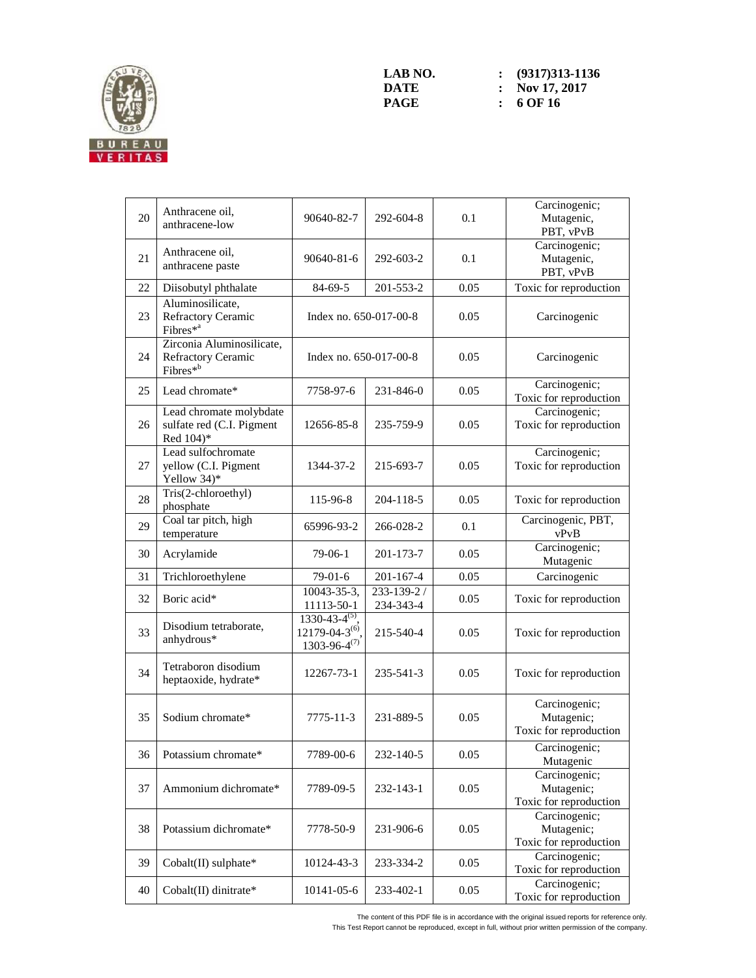

| 20 | Anthracene oil,<br>anthracene-low                                       | 90640-82-7                                                           | 292-604-8               | 0.1  | Carcinogenic;<br>Mutagenic,<br>PBT, vPvB              |
|----|-------------------------------------------------------------------------|----------------------------------------------------------------------|-------------------------|------|-------------------------------------------------------|
| 21 | Anthracene oil,<br>anthracene paste                                     | 90640-81-6                                                           | 292-603-2               | 0.1  | Carcinogenic;<br>Mutagenic,<br>PBT, vPvB              |
| 22 | Diisobutyl phthalate                                                    | $84 - 69 - 5$                                                        | 201-553-2               | 0.05 | Toxic for reproduction                                |
| 23 | Aluminosilicate,<br>Refractory Ceramic<br>Fibres <sup>*a</sup>          | Index no. 650-017-00-8                                               |                         | 0.05 | Carcinogenic                                          |
| 24 | Zirconia Aluminosilicate,<br>Refractory Ceramic<br>Fibres <sup>*b</sup> | Index no. 650-017-00-8                                               |                         | 0.05 | Carcinogenic                                          |
| 25 | Lead chromate*                                                          | 7758-97-6                                                            | 231-846-0               | 0.05 | Carcinogenic;<br>Toxic for reproduction               |
| 26 | Lead chromate molybdate<br>sulfate red (C.I. Pigment<br>Red 104)*       | 12656-85-8                                                           | 235-759-9               | 0.05 | Carcinogenic;<br>Toxic for reproduction               |
| 27 | Lead sulfochromate<br>yellow (C.I. Pigment<br>Yellow 34)*               | 1344-37-2                                                            | 215-693-7               | 0.05 | Carcinogenic;<br>Toxic for reproduction               |
| 28 | Tris(2-chloroethyl)<br>phosphate                                        | 115-96-8                                                             | 204-118-5               | 0.05 | Toxic for reproduction                                |
| 29 | Coal tar pitch, high<br>temperature                                     | 65996-93-2                                                           | 266-028-2               | 0.1  | Carcinogenic, PBT,<br>vPvB                            |
| 30 | Acrylamide                                                              | $79-06-1$                                                            | 201-173-7               | 0.05 | Carcinogenic;<br>Mutagenic                            |
| 31 | Trichloroethylene                                                       | $79-01-6$                                                            | $201 - 167 - 4$         | 0.05 | Carcinogenic                                          |
| 32 | Boric acid*                                                             | 10043-35-3,<br>11113-50-1                                            | 233-139-2/<br>234-343-4 | 0.05 | Toxic for reproduction                                |
| 33 | Disodium tetraborate,<br>anhydrous*                                     | $1330-43-4^{(5)}$<br>$12179 - 04 - 3^{(6)}$<br>$1303 - 96 - 4^{(7)}$ | 215-540-4               | 0.05 | Toxic for reproduction                                |
| 34 | Tetraboron disodium<br>heptaoxide, hydrate*                             | 12267-73-1                                                           | 235-541-3               | 0.05 | Toxic for reproduction                                |
| 35 | Sodium chromate*                                                        | 7775-11-3                                                            | 231-889-5               | 0.05 | Carcinogenic;<br>Mutagenic;<br>Toxic for reproduction |
| 36 | Potassium chromate*                                                     | 7789-00-6                                                            | 232-140-5               | 0.05 | Carcinogenic;<br>Mutagenic                            |
| 37 | Ammonium dichromate*                                                    | 7789-09-5                                                            | 232-143-1               | 0.05 | Carcinogenic;<br>Mutagenic;<br>Toxic for reproduction |
| 38 | Potassium dichromate*                                                   | 7778-50-9                                                            | 231-906-6               | 0.05 | Carcinogenic;<br>Mutagenic;<br>Toxic for reproduction |
| 39 | Cobalt(II) sulphate*                                                    | 10124-43-3                                                           | 233-334-2               | 0.05 | Carcinogenic;<br>Toxic for reproduction               |
| 40 | Cobalt(II) dinitrate*                                                   | 10141-05-6                                                           | 233-402-1               | 0.05 | Carcinogenic;<br>Toxic for reproduction               |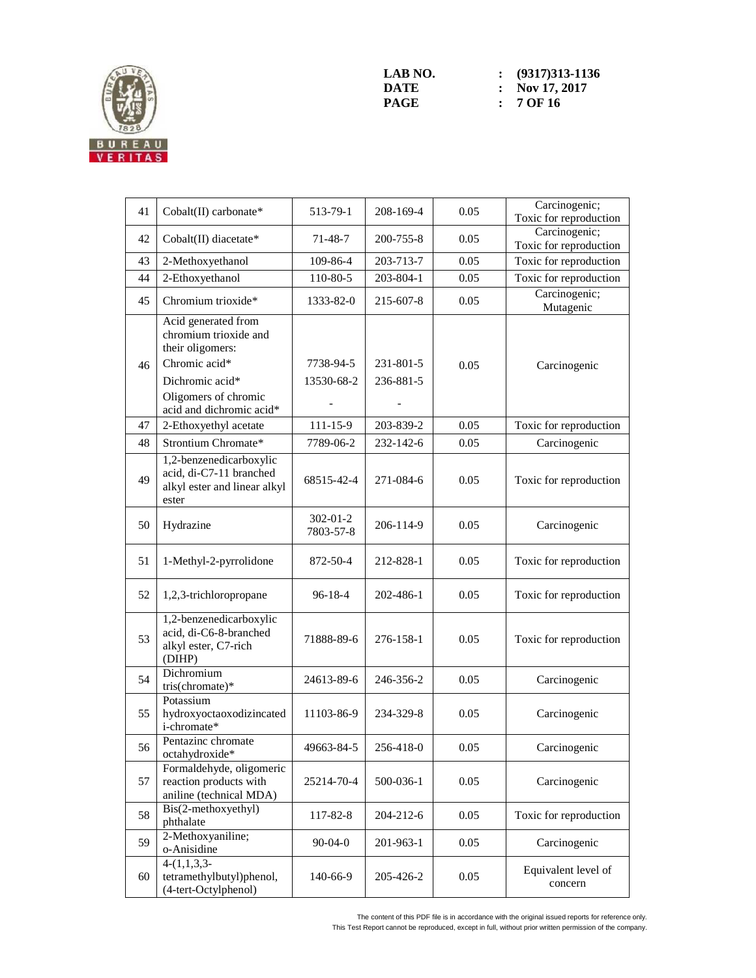

| 41 | Cobalt(II) carbonate*                                                                                                                                    | 513-79-1                    | 208-169-4              | 0.05 | Carcinogenic;<br>Toxic for reproduction |
|----|----------------------------------------------------------------------------------------------------------------------------------------------------------|-----------------------------|------------------------|------|-----------------------------------------|
|    |                                                                                                                                                          |                             |                        |      | Carcinogenic;                           |
| 42 | Cobalt(II) diacetate*                                                                                                                                    | $71 - 48 - 7$               | 200-755-8              | 0.05 | Toxic for reproduction                  |
| 43 | 2-Methoxyethanol                                                                                                                                         | 109-86-4                    | 203-713-7              | 0.05 | Toxic for reproduction                  |
| 44 | 2-Ethoxyethanol                                                                                                                                          | 110-80-5                    | 203-804-1              | 0.05 | Toxic for reproduction                  |
| 45 | Chromium trioxide*                                                                                                                                       | 1333-82-0                   | 215-607-8              | 0.05 | Carcinogenic;<br>Mutagenic              |
| 46 | Acid generated from<br>chromium trioxide and<br>their oligomers:<br>Chromic acid*<br>Dichromic acid*<br>Oligomers of chromic<br>acid and dichromic acid* | 7738-94-5<br>13530-68-2     | 231-801-5<br>236-881-5 | 0.05 | Carcinogenic                            |
| 47 | 2-Ethoxyethyl acetate                                                                                                                                    | $111 - 15 - 9$              | 203-839-2              | 0.05 | Toxic for reproduction                  |
| 48 | Strontium Chromate*                                                                                                                                      | 7789-06-2                   | 232-142-6              | 0.05 | Carcinogenic                            |
| 49 | 1,2-benzenedicarboxylic<br>acid, di-C7-11 branched<br>alkyl ester and linear alkyl<br>ester                                                              | 68515-42-4                  | 271-084-6              | 0.05 | Toxic for reproduction                  |
| 50 | Hydrazine                                                                                                                                                | $302 - 01 - 2$<br>7803-57-8 | 206-114-9              | 0.05 | Carcinogenic                            |
| 51 | 1-Methyl-2-pyrrolidone                                                                                                                                   | 872-50-4                    | 212-828-1              | 0.05 | Toxic for reproduction                  |
| 52 | 1,2,3-trichloropropane                                                                                                                                   | $96 - 18 - 4$               | 202-486-1              | 0.05 | Toxic for reproduction                  |
| 53 | 1,2-benzenedicarboxylic<br>acid, di-C6-8-branched<br>alkyl ester, C7-rich<br>(DIHP)                                                                      | 71888-89-6                  | 276-158-1              | 0.05 | Toxic for reproduction                  |
| 54 | Dichromium<br>tris(chromate)*                                                                                                                            | 24613-89-6                  | 246-356-2              | 0.05 | Carcinogenic                            |
| 55 | Potassium<br>hydroxyoctaoxodizincated<br>i-chromate*                                                                                                     | 11103-86-9                  | 234-329-8              | 0.05 | Carcinogenic                            |
| 56 | Pentazinc chromate<br>octahydroxide*                                                                                                                     | 49663-84-5                  | 256-418-0              | 0.05 | Carcinogenic                            |
| 57 | Formaldehyde, oligomeric<br>reaction products with<br>aniline (technical MDA)                                                                            | 25214-70-4                  | 500-036-1              | 0.05 | Carcinogenic                            |
| 58 | Bis(2-methoxyethyl)<br>phthalate                                                                                                                         | 117-82-8                    | 204-212-6              | 0.05 | Toxic for reproduction                  |
| 59 | 2-Methoxyaniline;<br>o-Anisidine                                                                                                                         | $90 - 04 - 0$               | 201-963-1              | 0.05 | Carcinogenic                            |
| 60 | $4-(1,1,3,3-$<br>tetramethylbutyl)phenol,<br>(4-tert-Octylphenol)                                                                                        | 140-66-9                    | 205-426-2              | 0.05 | Equivalent level of<br>concern          |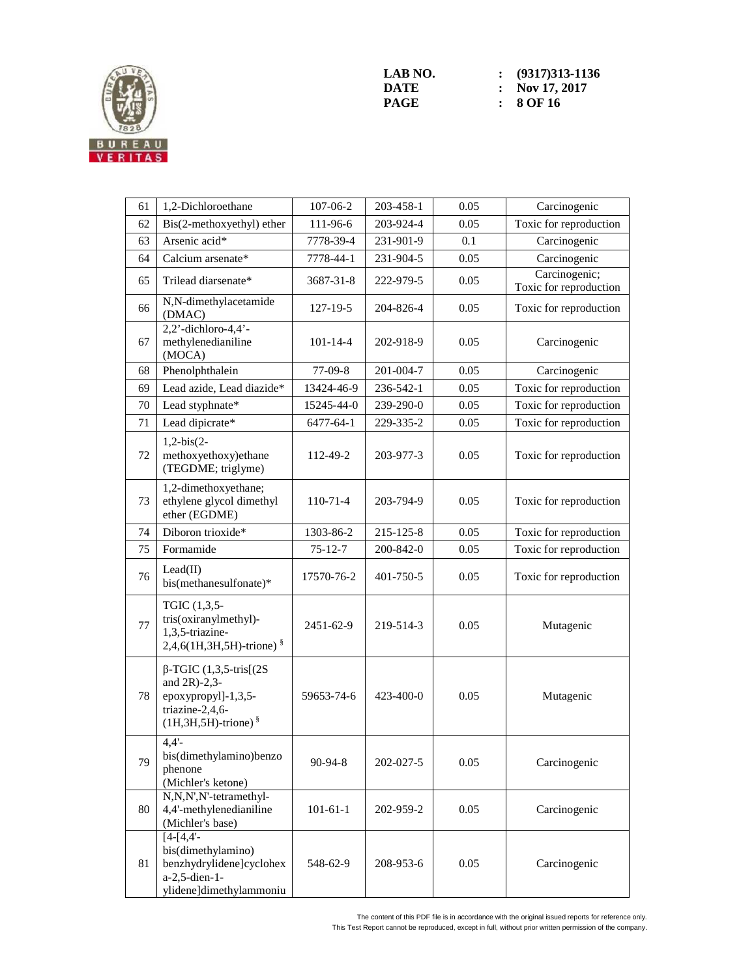

| 61 | 1,2-Dichloroethane                                                                                                         | 107-06-2       | 203-458-1 | 0.05 | Carcinogenic                            |
|----|----------------------------------------------------------------------------------------------------------------------------|----------------|-----------|------|-----------------------------------------|
| 62 | Bis(2-methoxyethyl) ether                                                                                                  | 111-96-6       | 203-924-4 | 0.05 | Toxic for reproduction                  |
| 63 | Arsenic acid*                                                                                                              | 7778-39-4      | 231-901-9 | 0.1  | Carcinogenic                            |
| 64 | Calcium arsenate*                                                                                                          | 7778-44-1      | 231-904-5 | 0.05 | Carcinogenic                            |
| 65 | Trilead diarsenate*                                                                                                        | 3687-31-8      | 222-979-5 | 0.05 | Carcinogenic;<br>Toxic for reproduction |
| 66 | N,N-dimethylacetamide<br>(DMAC)                                                                                            | 127-19-5       | 204-826-4 | 0.05 | Toxic for reproduction                  |
| 67 | $2,2$ '-dichloro-4,4'-<br>methylenedianiline<br>(MOCA)                                                                     | $101 - 14 - 4$ | 202-918-9 | 0.05 | Carcinogenic                            |
| 68 | Phenolphthalein                                                                                                            | $77-09-8$      | 201-004-7 | 0.05 | Carcinogenic                            |
| 69 | Lead azide, Lead diazide*                                                                                                  | 13424-46-9     | 236-542-1 | 0.05 | Toxic for reproduction                  |
| 70 | Lead styphnate*                                                                                                            | 15245-44-0     | 239-290-0 | 0.05 | Toxic for reproduction                  |
| 71 | Lead dipicrate*                                                                                                            | 6477-64-1      | 229-335-2 | 0.05 | Toxic for reproduction                  |
| 72 | $1,2-bis(2-$<br>methoxyethoxy)ethane<br>(TEGDME; triglyme)                                                                 | 112-49-2       | 203-977-3 | 0.05 | Toxic for reproduction                  |
| 73 | 1,2-dimethoxyethane;<br>ethylene glycol dimethyl<br>ether (EGDME)                                                          | 110-71-4       | 203-794-9 | 0.05 | Toxic for reproduction                  |
| 74 | Diboron trioxide*                                                                                                          | 1303-86-2      | 215-125-8 | 0.05 | Toxic for reproduction                  |
| 75 | Formamide                                                                                                                  | $75 - 12 - 7$  | 200-842-0 | 0.05 | Toxic for reproduction                  |
| 76 | Lead(II)<br>bis(methanesulfonate)*                                                                                         | 17570-76-2     | 401-750-5 | 0.05 | Toxic for reproduction                  |
| 77 | TGIC (1,3,5-<br>tris(oxiranylmethyl)-<br>1,3,5-triazine-<br>2,4,6(1H,3H,5H)-trione) <sup>§</sup>                           | 2451-62-9      | 219-514-3 | 0.05 | Mutagenic                               |
| 78 | $\beta$ -TGIC (1,3,5-tris[(2S)<br>and $2R$ )-2,3-<br>epoxypropyl]-1,3,5-<br>triazine-2,4,6-<br>$(1H, 3H, 5H)$ -trione) $§$ | 59653-74-6     | 423-400-0 | 0.05 | Mutagenic                               |
| 79 | 4.4'<br>bis(dimethylamino)benzo<br>phenone<br>(Michler's ketone)                                                           | $90 - 94 - 8$  | 202-027-5 | 0.05 | Carcinogenic                            |
| 80 | N,N,N',N'-tetramethyl-<br>4,4'-methylenedianiline<br>(Michler's base)                                                      | $101 - 61 - 1$ | 202-959-2 | 0.05 | Carcinogenic                            |
| 81 | $[4-[4,4]$ -<br>bis(dimethylamino)<br>benzhydrylidene]cyclohex<br>a-2,5-dien-1-<br>ylidene]dimethylammoniu                 | 548-62-9       | 208-953-6 | 0.05 | Carcinogenic                            |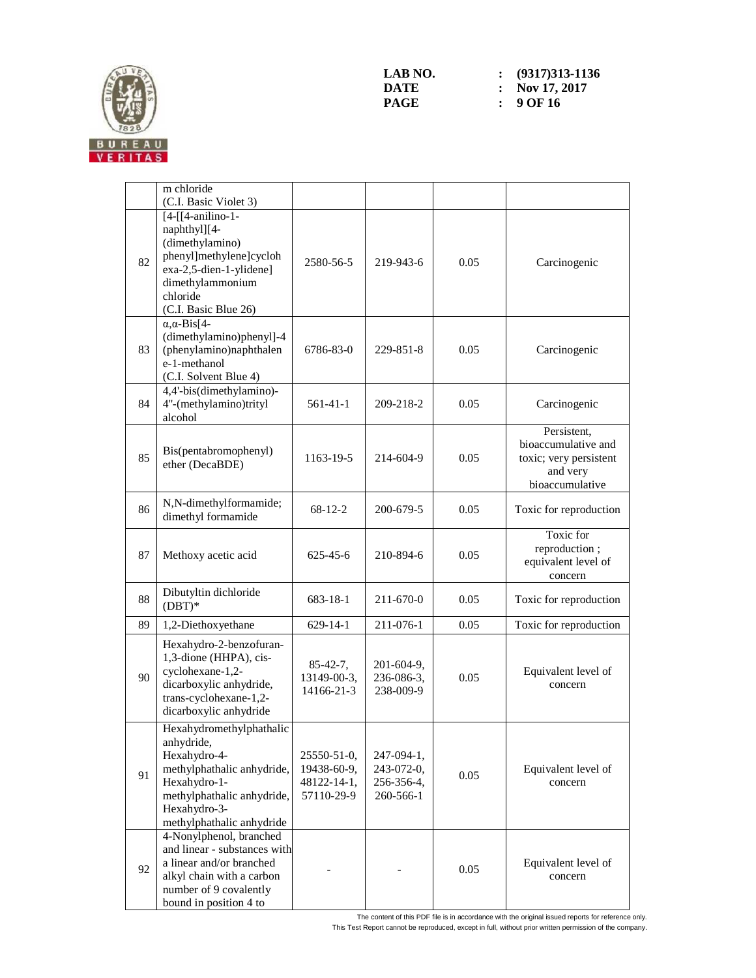

|    | m chloride<br>(C.I. Basic Violet 3)                                                                                                                                             |                                                         |                                                     |      |                                                                                             |
|----|---------------------------------------------------------------------------------------------------------------------------------------------------------------------------------|---------------------------------------------------------|-----------------------------------------------------|------|---------------------------------------------------------------------------------------------|
| 82 | $[4-[[4-anilino-1-$<br>naphthyl][4-<br>(dimethylamino)<br>phenyl]methylene]cycloh<br>exa-2,5-dien-1-ylidene]<br>dimethylammonium<br>chloride<br>(C.I. Basic Blue 26)            | 2580-56-5                                               | 219-943-6                                           | 0.05 | Carcinogenic                                                                                |
| 83 | $\alpha$ , $\alpha$ -Bis[4-<br>(dimethylamino)phenyl]-4<br>(phenylamino)naphthalen<br>e-1-methanol<br>(C.I. Solvent Blue 4)                                                     | 6786-83-0                                               | 229-851-8                                           | 0.05 | Carcinogenic                                                                                |
| 84 | 4,4'-bis(dimethylamino)-<br>4"-(methylamino)trityl<br>alcohol                                                                                                                   | 561-41-1                                                | 209-218-2                                           | 0.05 | Carcinogenic                                                                                |
| 85 | Bis(pentabromophenyl)<br>ether (DecaBDE)                                                                                                                                        | 1163-19-5                                               | 214-604-9                                           | 0.05 | Persistent,<br>bioaccumulative and<br>toxic; very persistent<br>and very<br>bioaccumulative |
| 86 | N,N-dimethylformamide;<br>dimethyl formamide                                                                                                                                    | $68-12-2$                                               | 200-679-5                                           | 0.05 | Toxic for reproduction                                                                      |
| 87 | Methoxy acetic acid                                                                                                                                                             | 625-45-6                                                | 210-894-6                                           | 0.05 | Toxic for<br>reproduction;<br>equivalent level of<br>concern                                |
| 88 | Dibutyltin dichloride<br>$(DBT)*$                                                                                                                                               | 683-18-1                                                | 211-670-0                                           | 0.05 | Toxic for reproduction                                                                      |
| 89 | 1,2-Diethoxyethane                                                                                                                                                              | $629 - 14 - 1$                                          | 211-076-1                                           | 0.05 | Toxic for reproduction                                                                      |
| 90 | Hexahydro-2-benzofuran-<br>1,3-dione (HHPA), cis-<br>cyclohexane-1,2-<br>dicarboxylic anhydride,<br>trans-cyclohexane-1,2-<br>dicarboxylic anhydride                            | $85-42-7,$<br>13149-00-3,<br>14166-21-3                 | 201-604-9,<br>236-086-3,<br>238-009-9               | 0.05 | Equivalent level of<br>concern                                                              |
| 91 | Hexahydromethylphathalic<br>anhydride,<br>Hexahydro-4-<br>methylphathalic anhydride,<br>Hexahydro-1-<br>methylphathalic anhydride,<br>Hexahydro-3-<br>methylphathalic anhydride | 25550-51-0,<br>19438-60-9,<br>48122-14-1,<br>57110-29-9 | 247-094-1,<br>243-072-0,<br>256-356-4,<br>260-566-1 | 0.05 | Equivalent level of<br>concern                                                              |
| 92 | 4-Nonylphenol, branched<br>and linear - substances with<br>a linear and/or branched<br>alkyl chain with a carbon<br>number of 9 covalently<br>bound in position 4 to            |                                                         |                                                     | 0.05 | Equivalent level of<br>concern                                                              |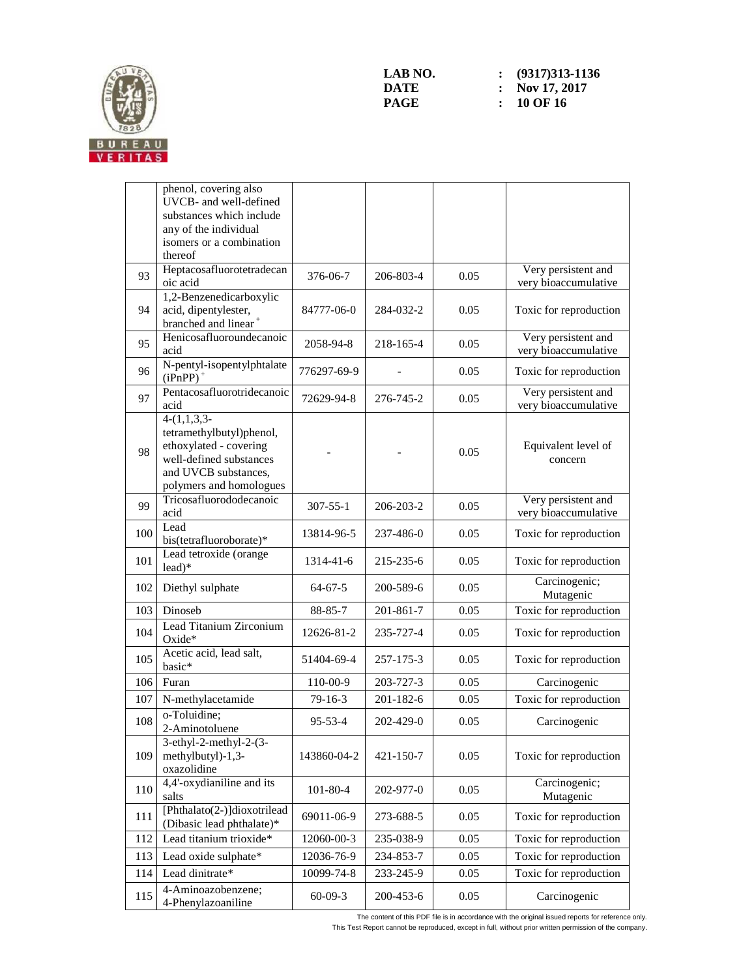

|     | phenol, covering also                                                                                                                             |                |                 |      |                                             |
|-----|---------------------------------------------------------------------------------------------------------------------------------------------------|----------------|-----------------|------|---------------------------------------------|
|     | UVCB- and well-defined<br>substances which include                                                                                                |                |                 |      |                                             |
|     | any of the individual                                                                                                                             |                |                 |      |                                             |
|     | isomers or a combination                                                                                                                          |                |                 |      |                                             |
|     | thereof                                                                                                                                           |                |                 |      |                                             |
| 93  | Heptacosafluorotetradecan<br>oic acid                                                                                                             | 376-06-7       | 206-803-4       | 0.05 | Very persistent and<br>very bioaccumulative |
| 94  | 1,2-Benzenedicarboxylic<br>acid, dipentylester,<br>branched and linear $^{\mathrm{+}}$                                                            | 84777-06-0     | 284-032-2       | 0.05 | Toxic for reproduction                      |
| 95  | Henicosafluoroundecanoic<br>acid                                                                                                                  | 2058-94-8      | 218-165-4       | 0.05 | Very persistent and<br>very bioaccumulative |
| 96  | N-pentyl-isopentylphtalate<br>$(iPnPP)^+$                                                                                                         | 776297-69-9    |                 | 0.05 | Toxic for reproduction                      |
| 97  | Pentacosafluorotridecanoic<br>acid                                                                                                                | 72629-94-8     | 276-745-2       | 0.05 | Very persistent and<br>very bioaccumulative |
| 98  | $4-(1,1,3,3-$<br>tetramethylbutyl)phenol,<br>ethoxylated - covering<br>well-defined substances<br>and UVCB substances,<br>polymers and homologues |                |                 | 0.05 | Equivalent level of<br>concern              |
| 99  | Tricosafluorododecanoic<br>acid                                                                                                                   | $307 - 55 - 1$ | 206-203-2       | 0.05 | Very persistent and<br>very bioaccumulative |
| 100 | Lead<br>bis(tetrafluoroborate)*                                                                                                                   | 13814-96-5     | 237-486-0       | 0.05 | Toxic for reproduction                      |
| 101 | Lead tetroxide (orange<br>lead)*                                                                                                                  | 1314-41-6      | 215-235-6       | 0.05 | Toxic for reproduction                      |
| 102 | Diethyl sulphate                                                                                                                                  | $64 - 67 - 5$  | 200-589-6       | 0.05 | Carcinogenic;<br>Mutagenic                  |
| 103 | Dinoseb                                                                                                                                           | 88-85-7        | 201-861-7       | 0.05 | Toxic for reproduction                      |
| 104 | Lead Titanium Zirconium<br>Oxide*                                                                                                                 | 12626-81-2     | 235-727-4       | 0.05 | Toxic for reproduction                      |
| 105 | Acetic acid, lead salt,<br>basic*                                                                                                                 | 51404-69-4     | 257-175-3       | 0.05 | Toxic for reproduction                      |
| 106 | Furan                                                                                                                                             | 110-00-9       | 203-727-3       | 0.05 | Carcinogenic                                |
| 107 | N-methylacetamide                                                                                                                                 | $79-16-3$      | $201 - 182 - 6$ | 0.05 | Toxic for reproduction                      |
| 108 | o-Toluidine;<br>2-Aminotoluene                                                                                                                    | 95-53-4        | 202-429-0       | 0.05 | Carcinogenic                                |
| 109 | 3-ethyl-2-methyl-2-(3-<br>methylbutyl)-1,3-<br>oxazolidine                                                                                        | 143860-04-2    | 421-150-7       | 0.05 | Toxic for reproduction                      |
| 110 | 4,4'-oxydianiline and its<br>salts                                                                                                                | 101-80-4       | 202-977-0       | 0.05 | Carcinogenic;<br>Mutagenic                  |
| 111 | [Phthalato(2-)]dioxotrilead<br>(Dibasic lead phthalate)*                                                                                          | 69011-06-9     | 273-688-5       | 0.05 | Toxic for reproduction                      |
| 112 | Lead titanium trioxide*                                                                                                                           | 12060-00-3     | 235-038-9       | 0.05 | Toxic for reproduction                      |
| 113 | Lead oxide sulphate*                                                                                                                              | 12036-76-9     | 234-853-7       | 0.05 | Toxic for reproduction                      |
| 114 | Lead dinitrate*                                                                                                                                   | 10099-74-8     | 233-245-9       | 0.05 | Toxic for reproduction                      |
| 115 | 4-Aminoazobenzene;<br>4-Phenylazoaniline                                                                                                          | $60-09-3$      | 200-453-6       | 0.05 | Carcinogenic                                |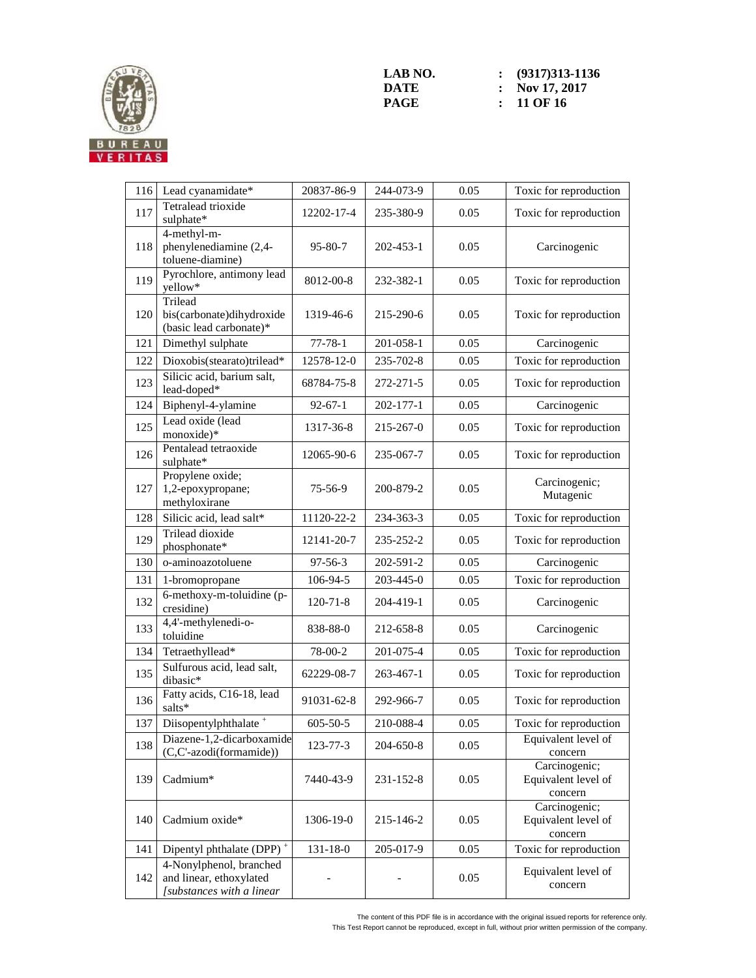

| 116 | Lead cyanamidate*                                                               | 20837-86-9     | 244-073-9 | 0.05 | Toxic for reproduction                          |
|-----|---------------------------------------------------------------------------------|----------------|-----------|------|-------------------------------------------------|
| 117 | Tetralead trioxide<br>sulphate*                                                 | 12202-17-4     | 235-380-9 | 0.05 | Toxic for reproduction                          |
| 118 | 4-methyl-m-<br>phenylenediamine (2,4-<br>toluene-diamine)                       | $95 - 80 - 7$  | 202-453-1 | 0.05 | Carcinogenic                                    |
| 119 | Pyrochlore, antimony lead<br>yellow*                                            | 8012-00-8      | 232-382-1 | 0.05 | Toxic for reproduction                          |
| 120 | Trilead<br>bis(carbonate)dihydroxide<br>(basic lead carbonate)*                 | 1319-46-6      | 215-290-6 | 0.05 | Toxic for reproduction                          |
| 121 | Dimethyl sulphate                                                               | $77 - 78 - 1$  | 201-058-1 | 0.05 | Carcinogenic                                    |
| 122 | Dioxobis(stearato)trilead*                                                      | 12578-12-0     | 235-702-8 | 0.05 | Toxic for reproduction                          |
| 123 | Silicic acid, barium salt,<br>lead-doped*                                       | 68784-75-8     | 272-271-5 | 0.05 | Toxic for reproduction                          |
| 124 | Biphenyl-4-ylamine                                                              | $92 - 67 - 1$  | 202-177-1 | 0.05 | Carcinogenic                                    |
| 125 | Lead oxide (lead<br>monoxide)*                                                  | 1317-36-8      | 215-267-0 | 0.05 | Toxic for reproduction                          |
| 126 | Pentalead tetraoxide<br>sulphate*                                               | 12065-90-6     | 235-067-7 | 0.05 | Toxic for reproduction                          |
| 127 | Propylene oxide;<br>1,2-epoxypropane;<br>methyloxirane                          | 75-56-9        | 200-879-2 | 0.05 | Carcinogenic;<br>Mutagenic                      |
| 128 | Silicic acid, lead salt*                                                        | 11120-22-2     | 234-363-3 | 0.05 | Toxic for reproduction                          |
| 129 | <b>Trilead</b> dioxide<br>phosphonate*                                          | 12141-20-7     | 235-252-2 | 0.05 | Toxic for reproduction                          |
| 130 | o-aminoazotoluene                                                               | $97 - 56 - 3$  | 202-591-2 | 0.05 | Carcinogenic                                    |
| 131 | 1-bromopropane                                                                  | 106-94-5       | 203-445-0 | 0.05 | Toxic for reproduction                          |
| 132 | 6-methoxy-m-toluidine (p-<br>cresidine)                                         | $120 - 71 - 8$ | 204-419-1 | 0.05 | Carcinogenic                                    |
| 133 | 4,4'-methylenedi-o-<br>toluidine                                                | 838-88-0       | 212-658-8 | 0.05 | Carcinogenic                                    |
| 134 | Tetraethyllead*                                                                 | 78-00-2        | 201-075-4 | 0.05 | Toxic for reproduction                          |
| 135 | Sulfurous acid, lead salt,<br>dibasic*                                          | 62229-08-7     | 263-467-1 | 0.05 | Toxic for reproduction                          |
| 136 | Fatty acids, C16-18, lead<br>salts*                                             | 91031-62-8     | 292-966-7 | 0.05 | Toxic for reproduction                          |
| 137 | Diisopentylphthalate <sup>+</sup>                                               | $605 - 50 - 5$ | 210-088-4 | 0.05 | Toxic for reproduction                          |
| 138 | Diazene-1,2-dicarboxamide<br>(C,C'-azodi(formamide))                            | 123-77-3       | 204-650-8 | 0.05 | Equivalent level of<br>concern                  |
| 139 | Cadmium*                                                                        | 7440-43-9      | 231-152-8 | 0.05 | Carcinogenic;<br>Equivalent level of<br>concern |
| 140 | Cadmium oxide*                                                                  | 1306-19-0      | 215-146-2 | 0.05 | Carcinogenic;<br>Equivalent level of<br>concern |
| 141 | Dipentyl phthalate (DPP) <sup>+</sup>                                           | 131-18-0       | 205-017-9 | 0.05 | Toxic for reproduction                          |
| 142 | 4-Nonylphenol, branched<br>and linear, ethoxylated<br>[substances with a linear |                |           | 0.05 | Equivalent level of<br>concern                  |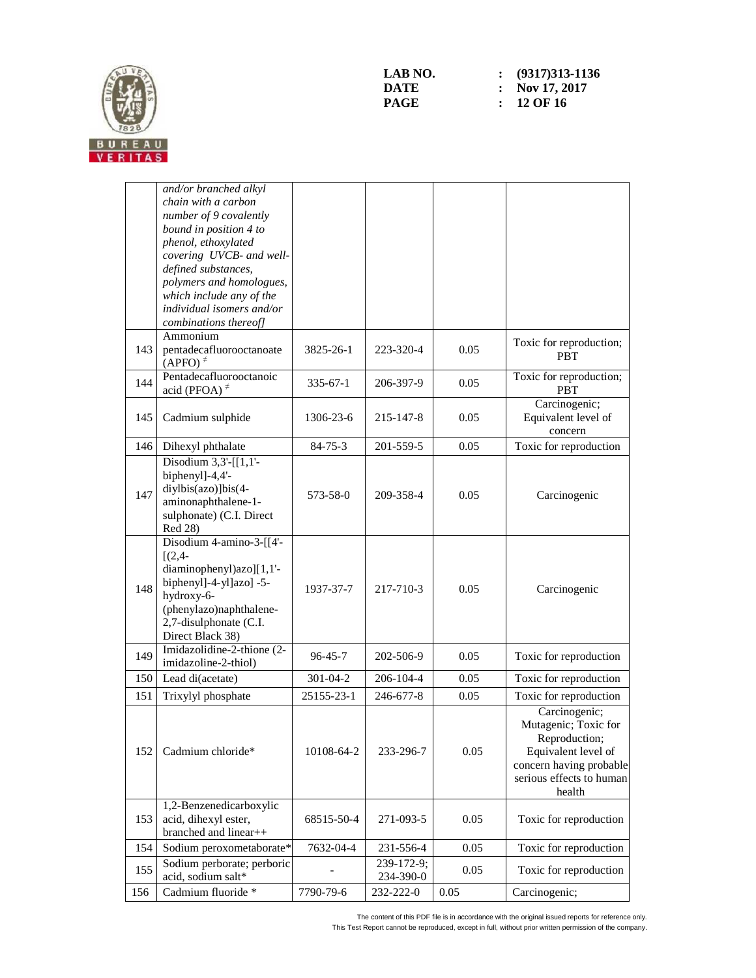

|     | and/or branched alkyl<br>chain with a carbon<br>number of 9 covalently<br>bound in position 4 to<br>phenol, ethoxylated<br>covering UVCB- and well-<br>defined substances,<br>polymers and homologues,<br>which include any of the<br>individual isomers and/or<br>combinations thereof] |                |                         |      |                                                                                                                                                |
|-----|------------------------------------------------------------------------------------------------------------------------------------------------------------------------------------------------------------------------------------------------------------------------------------------|----------------|-------------------------|------|------------------------------------------------------------------------------------------------------------------------------------------------|
| 143 | Ammonium<br>pentadecafluorooctanoate<br>$(APFO)^{\neq}$                                                                                                                                                                                                                                  | 3825-26-1      | 223-320-4               | 0.05 | Toxic for reproduction;<br><b>PBT</b>                                                                                                          |
| 144 | Pentadecafluorooctanoic<br>acid (PFOA) $\neq$                                                                                                                                                                                                                                            | $335 - 67 - 1$ | 206-397-9               | 0.05 | Toxic for reproduction;<br><b>PBT</b>                                                                                                          |
| 145 | Cadmium sulphide                                                                                                                                                                                                                                                                         | 1306-23-6      | 215-147-8               | 0.05 | Carcinogenic;<br>Equivalent level of<br>concern                                                                                                |
| 146 | Dihexyl phthalate                                                                                                                                                                                                                                                                        | $84 - 75 - 3$  | 201-559-5               | 0.05 | Toxic for reproduction                                                                                                                         |
| 147 | Disodium $3,3'$ -[[1,1'-<br>biphenyl]-4,4'-<br>diylbis(azo)]bis(4-<br>aminonaphthalene-1-<br>sulphonate) (C.I. Direct<br>Red 28)                                                                                                                                                         | 573-58-0       | 209-358-4               | 0.05 | Carcinogenic                                                                                                                                   |
| 148 | Disodium 4-amino-3-[[4'-<br>$[(2,4-$<br>diaminophenyl)azo][1,1'-<br>biphenyl]-4-yl]azo] -5-<br>hydroxy-6-<br>(phenylazo)naphthalene-<br>2,7-disulphonate (C.I.<br>Direct Black 38)                                                                                                       | 1937-37-7      | 217-710-3               | 0.05 | Carcinogenic                                                                                                                                   |
| 149 | Imidazolidine-2-thione (2-<br>imidazoline-2-thiol)                                                                                                                                                                                                                                       | $96 - 45 - 7$  | 202-506-9               | 0.05 | Toxic for reproduction                                                                                                                         |
| 150 | Lead di(acetate)                                                                                                                                                                                                                                                                         | 301-04-2       | 206-104-4               | 0.05 | Toxic for reproduction                                                                                                                         |
| 151 | Trixylyl phosphate                                                                                                                                                                                                                                                                       | 25155-23-1     | 246-677-8               | 0.05 | Toxic for reproduction                                                                                                                         |
| 152 | Cadmium chloride*                                                                                                                                                                                                                                                                        | 10108-64-2     | 233-296-7               | 0.05 | Carcinogenic;<br>Mutagenic; Toxic for<br>Reproduction;<br>Equivalent level of<br>concern having probable<br>serious effects to human<br>health |
| 153 | 1,2-Benzenedicarboxylic<br>acid, dihexyl ester,<br>branched and linear++                                                                                                                                                                                                                 | 68515-50-4     | 271-093-5               | 0.05 | Toxic for reproduction                                                                                                                         |
| 154 | Sodium peroxometaborate*                                                                                                                                                                                                                                                                 | 7632-04-4      | 231-556-4               | 0.05 | Toxic for reproduction                                                                                                                         |
| 155 | Sodium perborate; perboric<br>acid, sodium salt*                                                                                                                                                                                                                                         |                | 239-172-9;<br>234-390-0 | 0.05 | Toxic for reproduction                                                                                                                         |
| 156 | Cadmium fluoride *                                                                                                                                                                                                                                                                       | 7790-79-6      | 232-222-0               | 0.05 | Carcinogenic;                                                                                                                                  |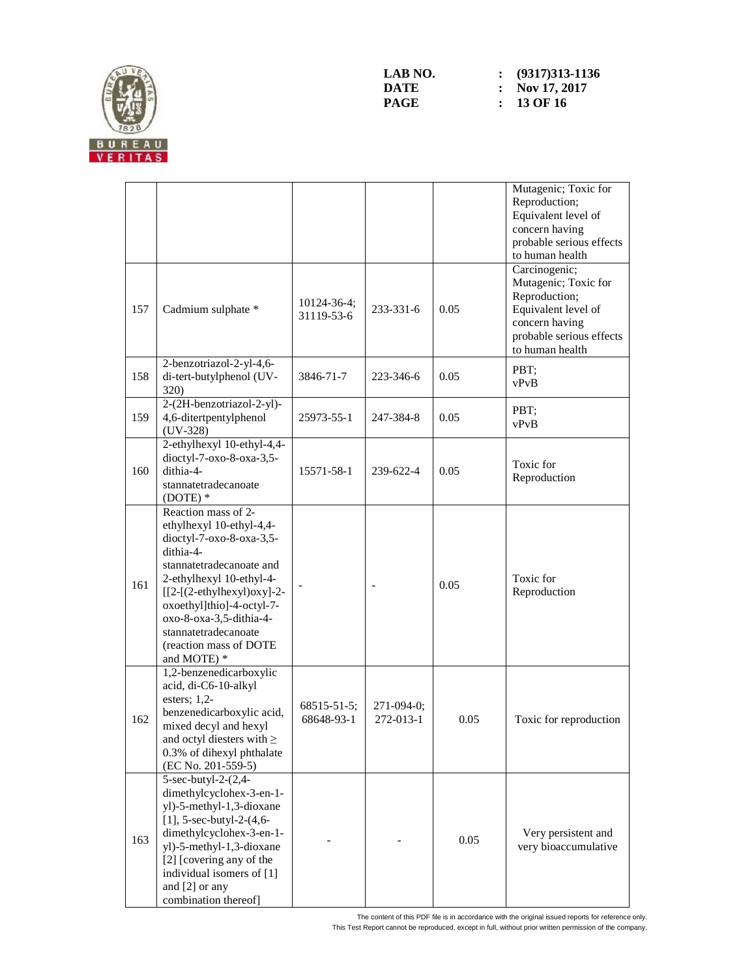

|     |                                                                                                                                                                                                                                                                                                          |                                  |                           |      | Mutagenic; Toxic for<br>Reproduction;<br>Equivalent level of<br>concern having<br>probable serious effects<br>to human health                  |
|-----|----------------------------------------------------------------------------------------------------------------------------------------------------------------------------------------------------------------------------------------------------------------------------------------------------------|----------------------------------|---------------------------|------|------------------------------------------------------------------------------------------------------------------------------------------------|
| 157 | Cadmium sulphate *                                                                                                                                                                                                                                                                                       | $10124 - 36 - 4;$<br>31119-53-6  | 233-331-6                 | 0.05 | Carcinogenic;<br>Mutagenic; Toxic for<br>Reproduction;<br>Equivalent level of<br>concern having<br>probable serious effects<br>to human health |
| 158 | 2-benzotriazol-2-yl-4,6-<br>di-tert-butylphenol (UV-<br><b>320</b> )                                                                                                                                                                                                                                     | 3846-71-7                        | 223-346-6                 | 0.05 | PBT;<br>vPvB                                                                                                                                   |
| 159 | 2-(2H-benzotriazol-2-yl)-<br>4,6-ditertpentylphenol<br>$(UV-328)$                                                                                                                                                                                                                                        | 25973-55-1                       | 247-384-8                 | 0.05 | PBT;<br>vPvB                                                                                                                                   |
| 160 | 2-ethylhexyl 10-ethyl-4,4-<br>dioctyl-7-oxo-8-oxa-3,5-<br>dithia-4-<br>stannatetradecanoate<br>$(DOTE)*$                                                                                                                                                                                                 | 15571-58-1                       | 239-622-4                 | 0.05 | Toxic for<br>Reproduction                                                                                                                      |
| 161 | Reaction mass of 2-<br>ethylhexyl 10-ethyl-4,4-<br>dioctyl-7-oxo-8-oxa-3,5-<br>dithia-4-<br>stannatetradecanoate and<br>2-ethylhexyl 10-ethyl-4-<br>$[[2-(2-ethylhexyl)oxy]-2-$<br>oxoethyl]thio]-4-octyl-7-<br>oxo-8-oxa-3,5-dithia-4-<br>stannatetradecanoate<br>(reaction mass of DOTE<br>and MOTE) * |                                  |                           | 0.05 | Toxic for<br>Reproduction                                                                                                                      |
| 162 | 1,2-benzenedicarboxylic<br>acid, di-C6-10-alkyl<br>esters; $1,2$ -<br>benzenedicarboxylic acid,<br>mixed decyl and hexyl<br>and octyl diesters with $\geq$<br>0.3% of dihexyl phthalate<br>(EC No. 201-559-5)                                                                                            | $68515 - 51 - 5$ ;<br>68648-93-1 | $271-094-0;$<br>272-013-1 | 0.05 | Toxic for reproduction                                                                                                                         |
| 163 | 5-sec-butyl-2-(2,4-<br>dimethylcyclohex-3-en-1-<br>yl)-5-methyl-1,3-dioxane<br>[1], 5-sec-butyl-2- $(4, 6-$<br>dimethylcyclohex-3-en-1-<br>yl)-5-methyl-1,3-dioxane<br>[2] [covering any of the<br>individual isomers of [1]<br>and [2] or any<br>combination thereof]                                   |                                  |                           | 0.05 | Very persistent and<br>very bioaccumulative                                                                                                    |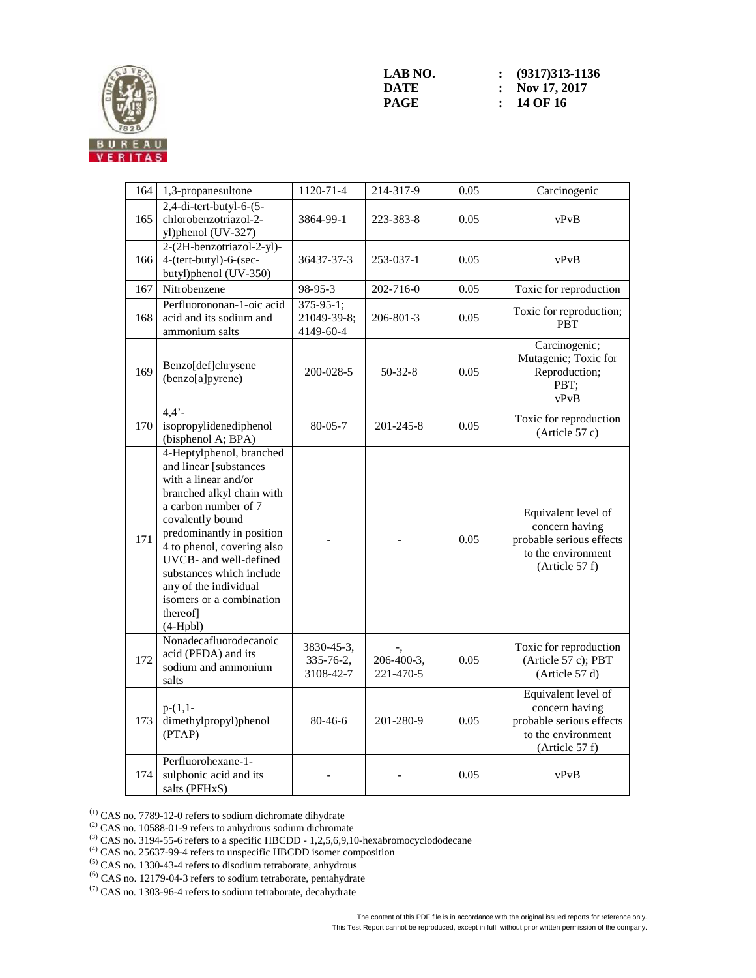

| 164 | 1,3-propanesultone                                                                                                                                                                                                                                                                                                                                 | 1120-71-4                                | 214-317-9               | 0.05 | Carcinogenic                                                                                              |
|-----|----------------------------------------------------------------------------------------------------------------------------------------------------------------------------------------------------------------------------------------------------------------------------------------------------------------------------------------------------|------------------------------------------|-------------------------|------|-----------------------------------------------------------------------------------------------------------|
| 165 | $2,4$ -di-tert-butyl-6- $(5-$<br>chlorobenzotriazol-2-<br>yl)phenol (UV-327)                                                                                                                                                                                                                                                                       | 3864-99-1                                | 223-383-8               | 0.05 | vPvB                                                                                                      |
| 166 | 2-(2H-benzotriazol-2-yl)-<br>4-(tert-butyl)-6-(sec-<br>butyl)phenol (UV-350)                                                                                                                                                                                                                                                                       | 36437-37-3                               | 253-037-1               | 0.05 | vPvB                                                                                                      |
| 167 | Nitrobenzene                                                                                                                                                                                                                                                                                                                                       | 98-95-3                                  | 202-716-0               | 0.05 | Toxic for reproduction                                                                                    |
| 168 | Perfluorononan-1-oic acid<br>acid and its sodium and<br>ammonium salts                                                                                                                                                                                                                                                                             | $375-95-1$ ;<br>21049-39-8;<br>4149-60-4 | 206-801-3               | 0.05 | Toxic for reproduction;<br><b>PBT</b>                                                                     |
| 169 | Benzo[def]chrysene<br>(benzo[a]pyrene)                                                                                                                                                                                                                                                                                                             | 200-028-5                                | $50-32-8$               | 0.05 | Carcinogenic;<br>Mutagenic; Toxic for<br>Reproduction;<br>PBT:<br>vPvB                                    |
| 170 | $4,4'$ -<br>isopropylidenediphenol<br>(bisphenol A; BPA)                                                                                                                                                                                                                                                                                           | $80 - 05 - 7$                            | 201-245-8               | 0.05 | Toxic for reproduction<br>(Article 57 c)                                                                  |
| 171 | 4-Heptylphenol, branched<br>and linear [substances<br>with a linear and/or<br>branched alkyl chain with<br>a carbon number of 7<br>covalently bound<br>predominantly in position<br>4 to phenol, covering also<br>UVCB- and well-defined<br>substances which include<br>any of the individual<br>isomers or a combination<br>thereof<br>$(4-Hpbl)$ |                                          |                         | 0.05 | Equivalent level of<br>concern having<br>probable serious effects<br>to the environment<br>(Article 57 f) |
| 172 | Nonadecafluorodecanoic<br>acid (PFDA) and its<br>sodium and ammonium<br>salts                                                                                                                                                                                                                                                                      | 3830-45-3,<br>335-76-2,<br>3108-42-7     | 206-400-3,<br>221-470-5 | 0.05 | Toxic for reproduction<br>(Article 57 c); PBT<br>(Article 57 d)                                           |
| 173 | $p-(1,1-$<br>dimethylpropyl)phenol<br>(PTAP)                                                                                                                                                                                                                                                                                                       | $80 - 46 - 6$                            | 201-280-9               | 0.05 | Equivalent level of<br>concern having<br>probable serious effects<br>to the environment<br>(Article 57 f) |
| 174 | Perfluorohexane-1-<br>sulphonic acid and its<br>salts (PFHxS)                                                                                                                                                                                                                                                                                      |                                          |                         | 0.05 | vPvB                                                                                                      |

 $^{(1)}$  CAS no. 7789-12-0 refers to sodium dichromate dihydrate

 $^{(2)}$  CAS no. 10588-01-9 refers to anhydrous sodium dichromate

(4) CAS no. 25637-99-4 refers to unspecific HBCDD isomer composition

(5) CAS no. 1330-43-4 refers to disodium tetraborate, anhydrous

(6) CAS no. 12179-04-3 refers to sodium tetraborate, pentahydrate

(7) CAS no. 1303-96-4 refers to sodium tetraborate, decahydrate

 $^{(3)}$  CAS no. 3194-55-6 refers to a specific HBCDD - 1,2,5,6,9,10-hexabromocyclododecane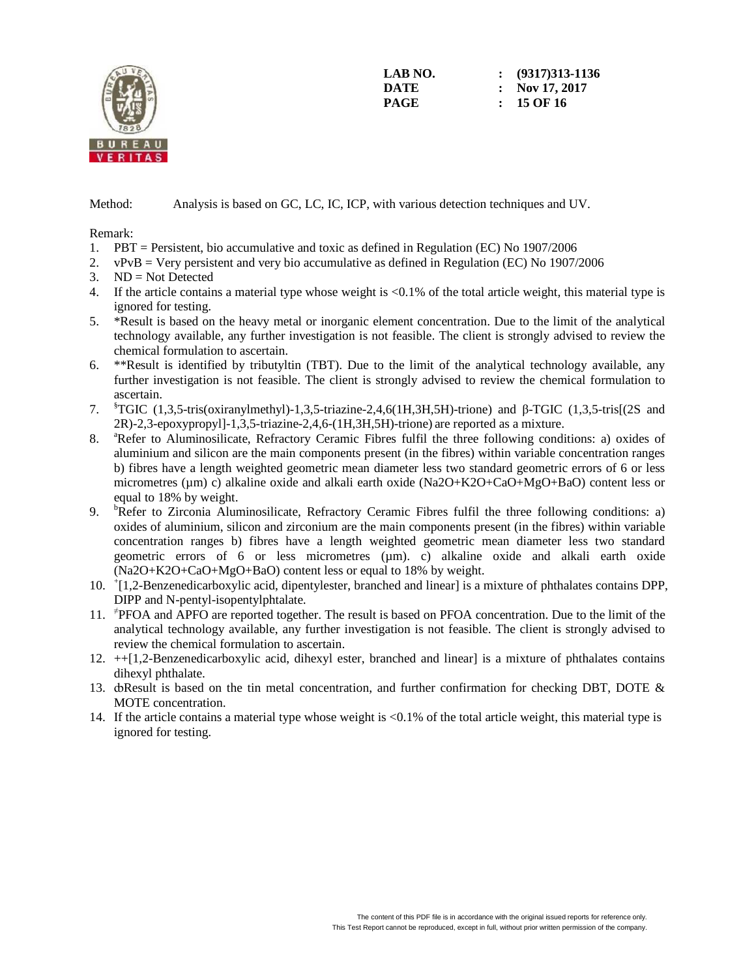

**LAB NO. : (9317)313-1136 DATE : Nov 17, 2017 PAGE : 15 OF 16** 

Method: Analysis is based on GC, LC, IC, ICP, with various detection techniques and UV.

Remark:

- 1. PBT = Persistent, bio accumulative and toxic as defined in Regulation (EC) No 1907/2006
- 2. vPvB = Very persistent and very bio accumulative as defined in Regulation (EC) No 1907/2006
- 3. ND = Not Detected
- 4. If the article contains a material type whose weight is <0.1% of the total article weight, this material type is ignored for testing.
- 5. \*Result is based on the heavy metal or inorganic element concentration. Due to the limit of the analytical technology available, any further investigation is not feasible. The client is strongly advised to review the chemical formulation to ascertain.
- 6. \*\*Result is identified by tributyltin (TBT). Due to the limit of the analytical technology available, any further investigation is not feasible. The client is strongly advised to review the chemical formulation to ascertain.
- 7. §TGIC (1,3,5-tris(oxiranylmethyl)-1,3,5-triazine-2,4,6(1H,3H,5H)-trione) and β-TGIC (1,3,5-tris[(2S and 2R)-2,3-epoxypropyl]-1,3,5-triazine-2,4,6-(1H,3H,5H)-trione) are reported as a mixture.
- 8. <sup>a</sup>Refer to Aluminosilicate, Refractory Ceramic Fibres fulfil the three following conditions: a) oxides of aluminium and silicon are the main components present (in the fibres) within variable concentration ranges b) fibres have a length weighted geometric mean diameter less two standard geometric errors of 6 or less micrometres (µm) c) alkaline oxide and alkali earth oxide (Na2O+K2O+CaO+MgO+BaO) content less or equal to 18% by weight.
- 9. <sup>b</sup>Refer to Zirconia Aluminosilicate, Refractory Ceramic Fibres fulfil the three following conditions: a) oxides of aluminium, silicon and zirconium are the main components present (in the fibres) within variable concentration ranges b) fibres have a length weighted geometric mean diameter less two standard geometric errors of 6 or less micrometres  $(\mu m)$ . c) alkaline oxide and alkali earth oxide (Na2O+K2O+CaO+MgO+BaO) content less or equal to 18% by weight.
- 10. <sup>+</sup> [1,2-Benzenedicarboxylic acid, dipentylester, branched and linear] is a mixture of phthalates contains DPP, DIPP and N-pentyl-isopentylphtalate.
- 11. <sup>≠</sup> PFOA and APFO are reported together. The result is based on PFOA concentration. Due to the limit of the analytical technology available, any further investigation is not feasible. The client is strongly advised to review the chemical formulation to ascertain.
- 12. ++[1,2-Benzenedicarboxylic acid, dihexyl ester, branched and linear] is a mixture of phthalates contains dihexyl phthalate.
- 13. doResult is based on the tin metal concentration, and further confirmation for checking DBT, DOTE & MOTE concentration.
- 14. If the article contains a material type whose weight is <0.1% of the total article weight, this material type is ignored for testing.